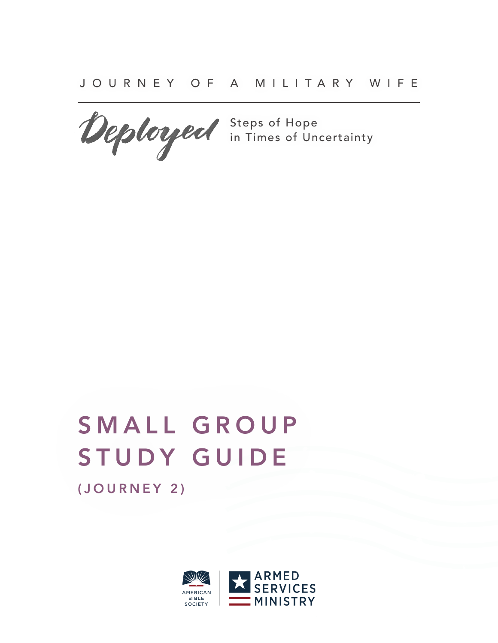

Steps of Hope in Times of Uncertainty

# SMALL GROUP STUDY GUIDE (JOURNEY 2)

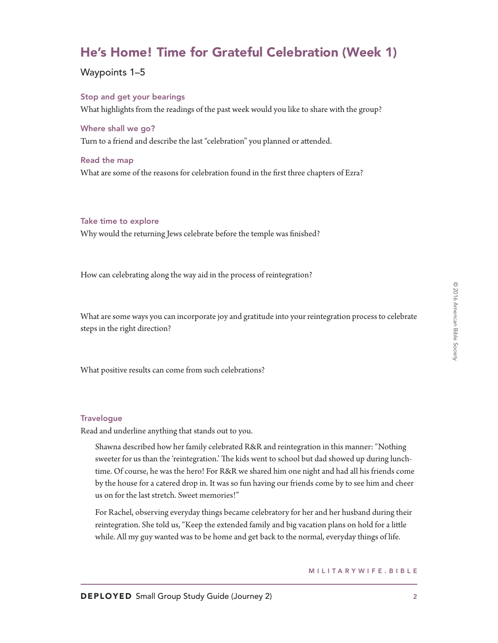# He's Home! Time for Grateful Celebration (Week 1)

Waypoints 1–5

Stop and get your bearings What highlights from the readings of the past week would you like to share with the group?

Where shall we go? Turn to a friend and describe the last "celebration" you planned or attended.

Read the map What are some of the reasons for celebration found in the first three chapters of Ezra?

# Take time to explore

Why would the returning Jews celebrate before the temple was finished?

How can celebrating along the way aid in the process of reintegration?

What are some ways you can incorporate joy and gratitude into your reintegration process to celebrate steps in the right direction?

What positive results can come from such celebrations?

# **Travelogue**

Read and underline anything that stands out to you.

Shawna described how her family celebrated R&R and reintegration in this manner: "Nothing sweeter for us than the 'reintegration.' The kids went to school but dad showed up during lunchtime. Of course, he was the hero! For R&R we shared him one night and had all his friends come by the house for a catered drop in. It was so fun having our friends come by to see him and cheer us on for the last stretch. Sweet memories!"

For Rachel, observing everyday things became celebratory for her and her husband during their reintegration. She told us, "Keep the extended family and big vacation plans on hold for a little while. All my guy wanted was to be home and get back to the normal, everyday things of life.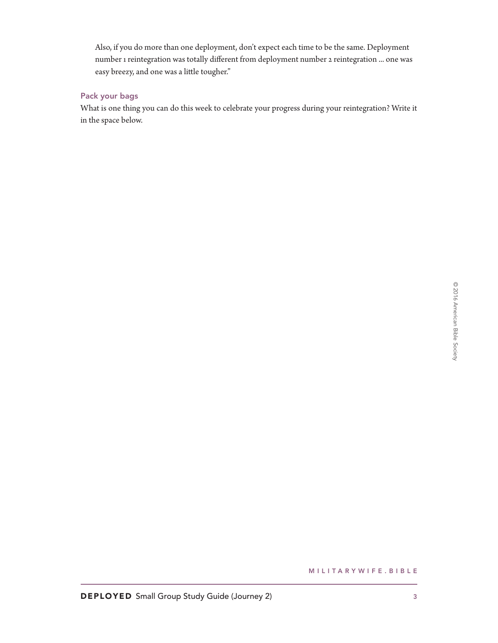Also, if you do more than one deployment, don't expect each time to be the same. Deployment number 1 reintegration was totally different from deployment number 2 reintegration ... one was easy breezy, and one was a little tougher."

# Pack your bags

What is one thing you can do this week to celebrate your progress during your reintegration? Write it in the space below.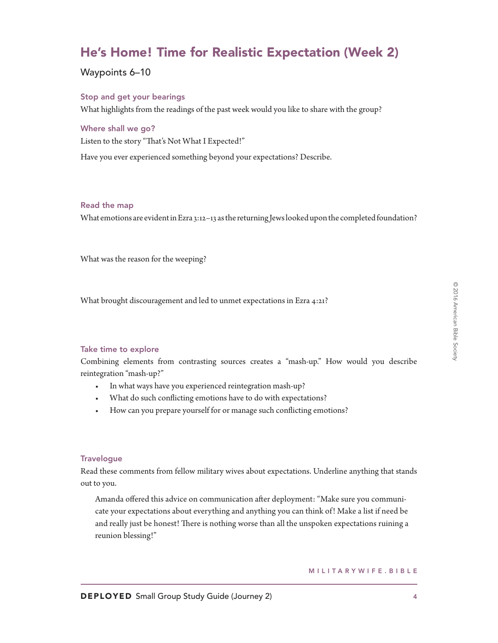# He's Home! Time for Realistic Expectation (Week 2)

# Waypoints 6–10

# Stop and get your bearings

What highlights from the readings of the past week would you like to share with the group?

# Where shall we go?

Listen to the story "That's Not What I Expected!"

Have you ever experienced something beyond your expectations? Describe.

# Read the map

What emotions are evident in Ezra 3:12–13 as the returning Jews looked upon the completed foundation?

What was the reason for the weeping?

What brought discouragement and led to unmet expectations in Ezra 4:21?

# Take time to explore

Combining elements from contrasting sources creates a "mash-up." How would you describe reintegration "mash-up?"

- In what ways have you experienced reintegration mash-up?
- What do such conflicting emotions have to do with expectations?
- How can you prepare yourself for or manage such conflicting emotions?

# **Travelogue**

Read these comments from fellow military wives about expectations. Underline anything that stands out to you.

Amanda offered this advice on communication after deployment: "Make sure you communicate your expectations about everything and anything you can think of! Make a list if need be and really just be honest! There is nothing worse than all the unspoken expectations ruining a reunion blessing!"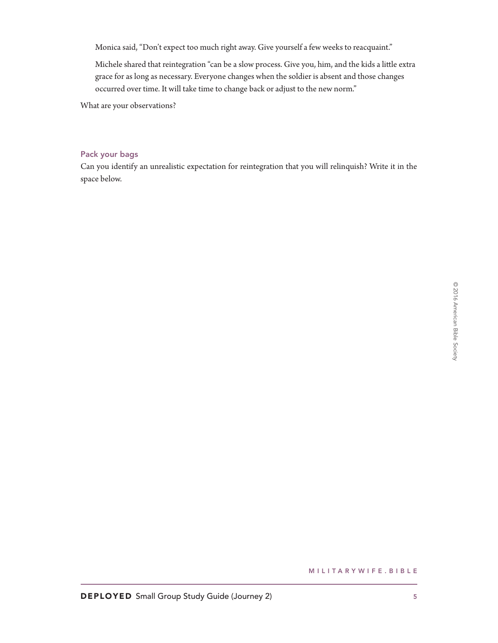Monica said, "Don't expect too much right away. Give yourself a few weeks to reacquaint."

Michele shared that reintegration "can be a slow process. Give you, him, and the kids a little extra grace for as long as necessary. Everyone changes when the soldier is absent and those changes occurred over time. It will take time to change back or adjust to the new norm."

What are your observations?

### Pack your bags

Can you identify an unrealistic expectation for reintegration that you will relinquish? Write it in the space below.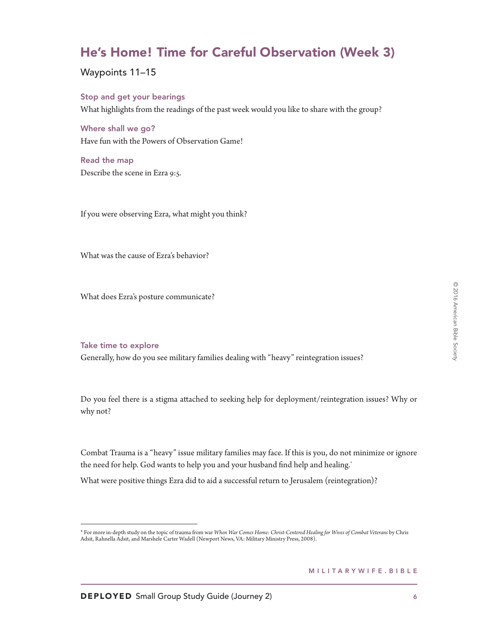# He's Home! Time for Careful Observation (Week 3)

Waypoints 11–15

Stop and get your bearings What highlights from the readings of the past week would you like to share with the group?

Where shall we go? Have fun with the Powers of Observation Game!

Read the map Describe the scene in Ezra 9:5.

If you were observing Ezra, what might you think?

What was the cause of Ezra's behavior?

What does Ezra's posture communicate?

#### Take time to explore

Generally, how do you see military families dealing with "heavy" reintegration issues?

Do you feel there is a stigma attached to seeking help for deployment/reintegration issues? Why or why not?

Combat Trauma is a "heavy" issue military families may face. If this is you, do not minimize or ignore the need for help. God wants to help you and your husband find help and healing.<sup>\*</sup>

What were positive things Ezra did to aid a successful return to Jerusalem (reintegration)?

<sup>\*</sup> For more in-depth study on the topic of trauma from war *When War Comes Home: Christ-Centered Healing for Wives of Combat Veterans* by Chris Adsit, Rahnella Adsit, and Marshele Carter Wadell (Newport News, VA: Military Ministry Press, 2008).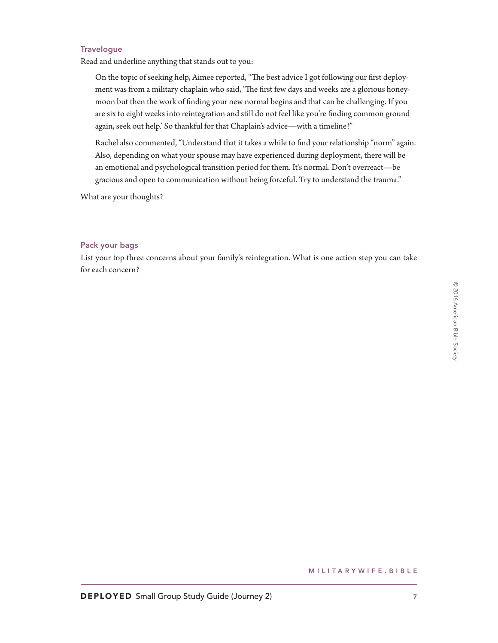# **Travelogue**

Read and underline anything that stands out to you:

On the topic of seeking help, Aimee reported, "The best advice I got following our first deployment was from a military chaplain who said, 'The first few days and weeks are a glorious honeymoon but then the work of finding your new normal begins and that can be challenging. If you are six to eight weeks into reintegration and still do not feel like you're finding common ground again, seek out help.' So thankful for that Chaplain's advice—with a timeline!"

Rachel also commented, "Understand that it takes a while to find your relationship "norm" again. Also, depending on what your spouse may have experienced during deployment, there will be an emotional and psychological transition period for them. It's normal. Don't overreact—be gracious and open to communication without being forceful. Try to understand the trauma."

What are your thoughts?

# Pack your bags

List your top three concerns about your family's reintegration. What is one action step you can take for each concern?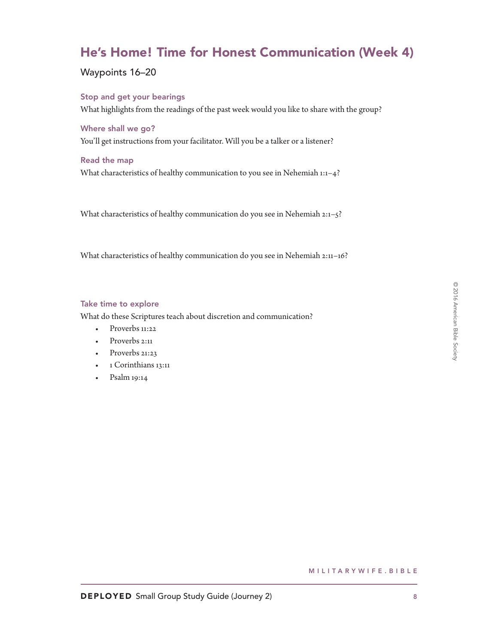# He's Home! Time for Honest Communication (Week 4)

Waypoints 16–20

Stop and get your bearings What highlights from the readings of the past week would you like to share with the group?

# Where shall we go?

You'll get instructions from your facilitator. Will you be a talker or a listener?

# Read the map

What characteristics of healthy communication to you see in Nehemiah 1:1–4?

What characteristics of healthy communication do you see in Nehemiah 2:1–5?

What characteristics of healthy communication do you see in Nehemiah 2:11–16?

#### Take time to explore

What do these Scriptures teach about discretion and communication?

- Proverbs 11:22
- Proverbs 2:11
- Proverbs 21:23
- 1 Corinthians 13:11
- Psalm 19:14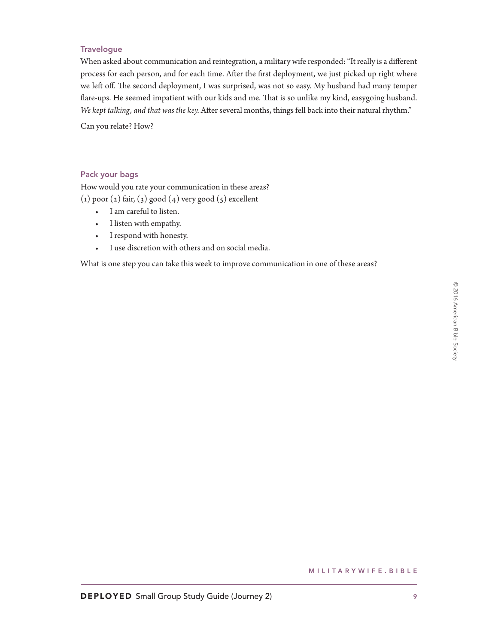# **Travelogue**

When asked about communication and reintegration, a military wife responded: "It really is a different process for each person, and for each time. After the first deployment, we just picked up right where we left off. The second deployment, I was surprised, was not so easy. My husband had many temper flare-ups. He seemed impatient with our kids and me. That is so unlike my kind, easygoing husband. We kept talking, and that was the key. After several months, things fell back into their natural rhythm."

Can you relate? How?

# Pack your bags

How would you rate your communication in these areas?  $(1)$  poor  $(2)$  fair,  $(3)$  good  $(4)$  very good  $(5)$  excellent

- I am careful to listen.
- I listen with empathy.
- I respond with honesty.
- I use discretion with others and on social media.

What is one step you can take this week to improve communication in one of these areas?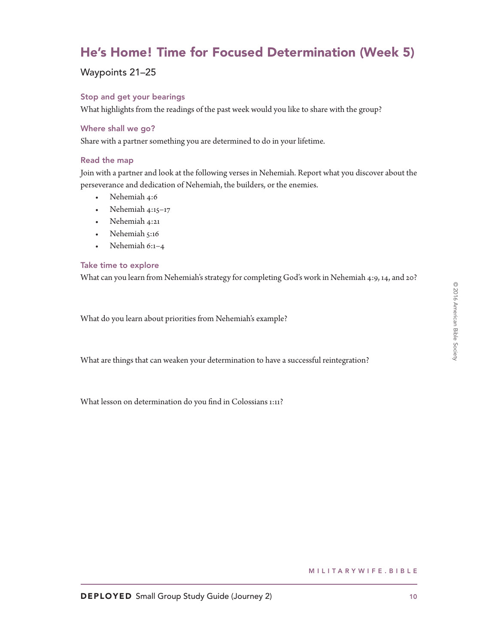# He's Home! Time for Focused Determination (Week 5)

# Waypoints 21–25

# Stop and get your bearings

What highlights from the readings of the past week would you like to share with the group?

# Where shall we go?

Share with a partner something you are determined to do in your lifetime.

# Read the map

Join with a partner and look at the following verses in Nehemiah. Report what you discover about the perseverance and dedication of Nehemiah, the builders, or the enemies.

- Nehemiah 4:6
- Nehemiah 4:15–17
- Nehemiah 4:21
- Nehemiah 5:16
- Nehemiah 6:1–4

# Take time to explore

What can you learn from Nehemiah's strategy for completing God's work in Nehemiah 4:9, 14, and 20?

What do you learn about priorities from Nehemiah's example?

What are things that can weaken your determination to have a successful reintegration?

What lesson on determination do you find in Colossians 1:11?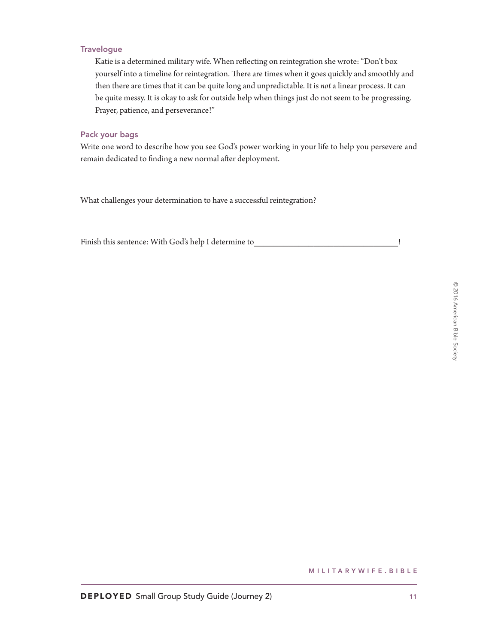# **Travelogue**

Katie is a determined military wife. When reflecting on reintegration she wrote: "Don't box yourself into a timeline for reintegration. There are times when it goes quickly and smoothly and then there are times that it can be quite long and unpredictable. It is *not* a linear process. It can be quite messy. It is okay to ask for outside help when things just do not seem to be progressing. Prayer, patience, and perseverance!"

### Pack your bags

Write one word to describe how you see God's power working in your life to help you persevere and remain dedicated to finding a new normal after deployment.

What challenges your determination to have a successful reintegration?

Finish this sentence: With God's help I determine to  $\qquad \qquad \vdots$